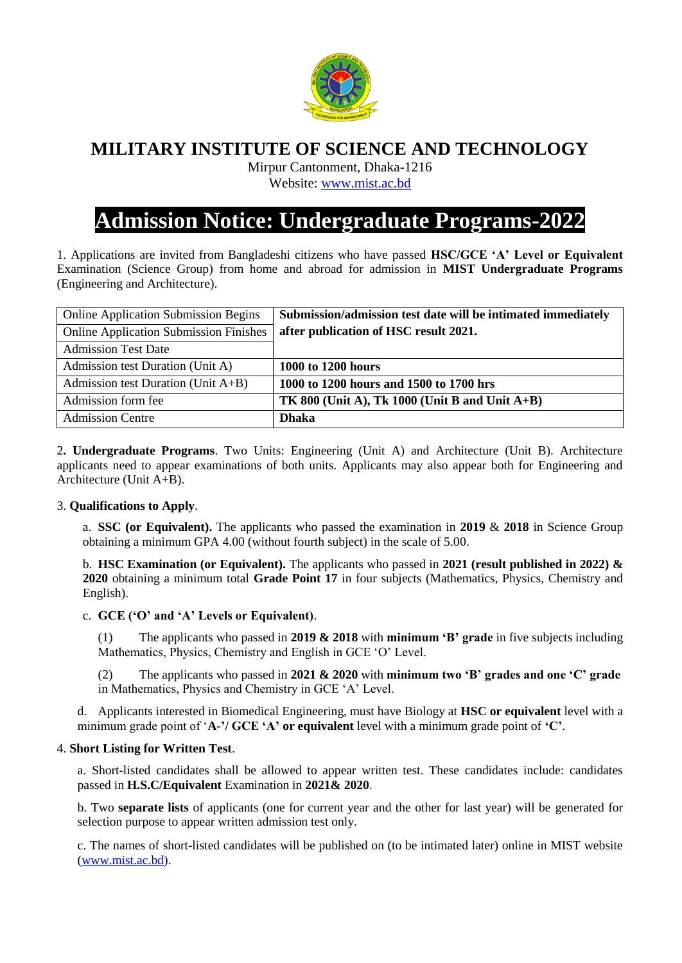

# **MILITARY INSTITUTE OF SCIENCE AND TECHNOLOGY**

Mirpur Cantonment, Dhaka-1216

Website: [www.mist.ac.bd](http://www.mist.ac.bd/)

# **Admission Notice: Undergraduate Programs-2022**

1. Applications are invited from Bangladeshi citizens who have passed **HSC/GCE 'A' Level or Equivalent** Examination (Science Group) from home and abroad for admission in **MIST Undergraduate Programs**  (Engineering and Architecture).

| <b>Online Application Submission Begins</b>   | Submission/admission test date will be intimated immediately |
|-----------------------------------------------|--------------------------------------------------------------|
| <b>Online Application Submission Finishes</b> | after publication of HSC result 2021.                        |
| <b>Admission Test Date</b>                    |                                                              |
| Admission test Duration (Unit A)              | 1000 to 1200 hours                                           |
| Admission test Duration (Unit $A+B$ )         | 1000 to 1200 hours and 1500 to 1700 hrs                      |
| Admission form fee                            | TK 800 (Unit A), Tk 1000 (Unit B and Unit $A+B$ )            |
| <b>Admission Centre</b>                       | <b>Dhaka</b>                                                 |

2**. Undergraduate Programs**. Two Units: Engineering (Unit A) and Architecture (Unit B). Architecture applicants need to appear examinations of both units. Applicants may also appear both for Engineering and Architecture (Unit A+B).

## 3. **Qualifications to Apply**.

a. **SSC (or Equivalent).** The applicants who passed the examination in **2019** & **2018** in Science Group obtaining a minimum GPA 4.00 (without fourth subject) in the scale of 5.00.

b. **HSC Examination (or Equivalent).** The applicants who passed in **2021 (result published in 2022) & 2020** obtaining a minimum total **Grade Point 17** in four subjects (Mathematics, Physics, Chemistry and English).

## c. **GCE ('O' and 'A' Levels or Equivalent)**.

(1) The applicants who passed in **2019 & 2018** with **minimum 'B' grade** in five subjects including Mathematics, Physics, Chemistry and English in GCE 'O' Level.

(2) The applicants who passed in **2021 & 2020** with **minimum two 'B' grades and one 'C' grade**  in Mathematics, Physics and Chemistry in GCE 'A' Level.

d. Applicants interested in Biomedical Engineering, must have Biology at **HSC or equivalent** level with a minimum grade point of '**A-'/ GCE 'A' or equivalent** level with a minimum grade point of **'C'**.

## 4. **Short Listing for Written Test**.

a. Short-listed candidates shall be allowed to appear written test. These candidates include: candidates passed in **H.S.C/Equivalent** Examination in **2021& 2020**.

b. Two **separate lists** of applicants (one for current year and the other for last year) will be generated for selection purpose to appear written admission test only.

c. The names of short-listed candidates will be published on (to be intimated later) online in MIST website [\(www.mist.ac.bd\)](http://www.mist.ac.bd/).